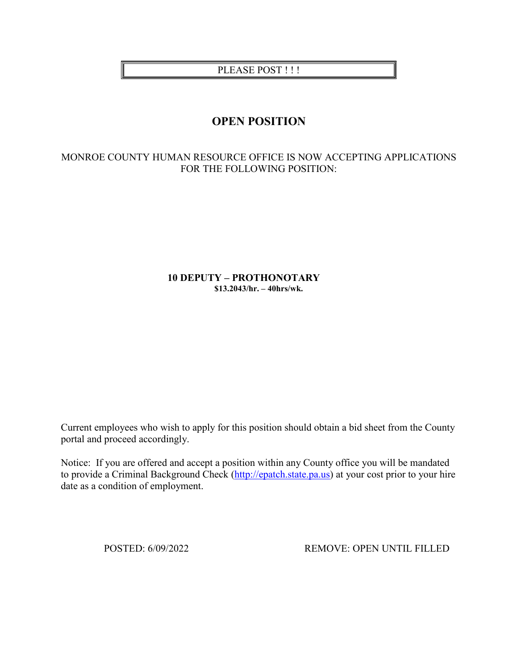PLEASE POST !!!

# **OPEN POSITION**

# MONROE COUNTY HUMAN RESOURCE OFFICE IS NOW ACCEPTING APPLICATIONS FOR THE FOLLOWING POSITION:

### **10 DEPUTY – PROTHONOTARY \$13.2043/hr. – 40hrs/wk.**

Current employees who wish to apply for this position should obtain a bid sheet from the County portal and proceed accordingly.

Notice: If you are offered and accept a position within any County office you will be mandated to provide a Criminal Background Check [\(http://epatch.state.pa.us\)](http://epatch.state.pa.us/) at your cost prior to your hire date as a condition of employment.

POSTED: 6/09/2022 REMOVE: OPEN UNTIL FILLED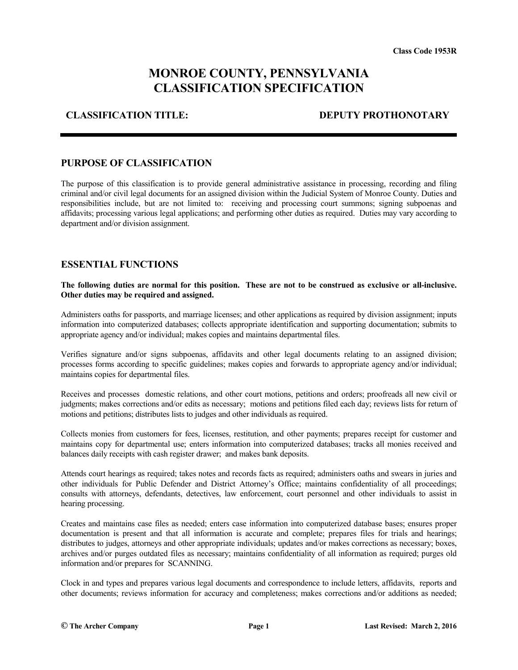# **MONROE COUNTY, PENNSYLVANIA CLASSIFICATION SPECIFICATION**

### **CLASSIFICATION TITLE: DEPUTY PROTHONOTARY**

### **PURPOSE OF CLASSIFICATION**

The purpose of this classification is to provide general administrative assistance in processing, recording and filing criminal and/or civil legal documents for an assigned division within the Judicial System of Monroe County. Duties and responsibilities include, but are not limited to: receiving and processing court summons; signing subpoenas and affidavits; processing various legal applications; and performing other duties as required. Duties may vary according to department and/or division assignment.

### **ESSENTIAL FUNCTIONS**

**The following duties are normal for this position. These are not to be construed as exclusive or all-inclusive. Other duties may be required and assigned.**

Administers oaths for passports, and marriage licenses; and other applications as required by division assignment; inputs information into computerized databases; collects appropriate identification and supporting documentation; submits to appropriate agency and/or individual; makes copies and maintains departmental files.

Verifies signature and/or signs subpoenas, affidavits and other legal documents relating to an assigned division; processes forms according to specific guidelines; makes copies and forwards to appropriate agency and/or individual; maintains copies for departmental files.

Receives and processes domestic relations, and other court motions, petitions and orders; proofreads all new civil or judgments; makes corrections and/or edits as necessary; motions and petitions filed each day; reviews lists for return of motions and petitions; distributes lists to judges and other individuals as required.

Collects monies from customers for fees, licenses, restitution, and other payments; prepares receipt for customer and maintains copy for departmental use; enters information into computerized databases; tracks all monies received and balances daily receipts with cash register drawer; and makes bank deposits.

Attends court hearings as required; takes notes and records facts as required; administers oaths and swears in juries and other individuals for Public Defender and District Attorney's Office; maintains confidentiality of all proceedings; consults with attorneys, defendants, detectives, law enforcement, court personnel and other individuals to assist in hearing processing.

Creates and maintains case files as needed; enters case information into computerized database bases; ensures proper documentation is present and that all information is accurate and complete; prepares files for trials and hearings; distributes to judges, attorneys and other appropriate individuals; updates and/or makes corrections as necessary; boxes, archives and/or purges outdated files as necessary; maintains confidentiality of all information as required; purges old information and/or prepares for SCANNING.

Clock in and types and prepares various legal documents and correspondence to include letters, affidavits, reports and other documents; reviews information for accuracy and completeness; makes corrections and/or additions as needed;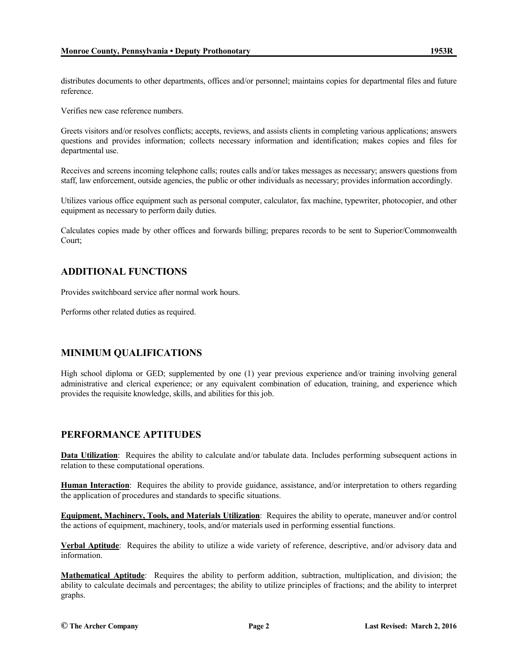Verifies new case reference numbers.

Greets visitors and/or resolves conflicts; accepts, reviews, and assists clients in completing various applications; answers questions and provides information; collects necessary information and identification; makes copies and files for departmental use.

Receives and screens incoming telephone calls; routes calls and/or takes messages as necessary; answers questions from staff, law enforcement, outside agencies, the public or other individuals as necessary; provides information accordingly.

Utilizes various office equipment such as personal computer, calculator, fax machine, typewriter, photocopier, and other equipment as necessary to perform daily duties.

Calculates copies made by other offices and forwards billing; prepares records to be sent to Superior/Commonwealth Court;

## **ADDITIONAL FUNCTIONS**

Provides switchboard service after normal work hours.

Performs other related duties as required.

# **MINIMUM QUALIFICATIONS**

High school diploma or GED; supplemented by one (1) year previous experience and/or training involving general administrative and clerical experience; or any equivalent combination of education, training, and experience which provides the requisite knowledge, skills, and abilities for this job.

# **PERFORMANCE APTITUDES**

**Data Utilization**: Requires the ability to calculate and/or tabulate data. Includes performing subsequent actions in relation to these computational operations.

**Human Interaction**: Requires the ability to provide guidance, assistance, and/or interpretation to others regarding the application of procedures and standards to specific situations.

**Equipment, Machinery, Tools, and Materials Utilization**: Requires the ability to operate, maneuver and/or control the actions of equipment, machinery, tools, and/or materials used in performing essential functions.

**Verbal Aptitude**: Requires the ability to utilize a wide variety of reference, descriptive, and/or advisory data and information.

**Mathematical Aptitude**: Requires the ability to perform addition, subtraction, multiplication, and division; the ability to calculate decimals and percentages; the ability to utilize principles of fractions; and the ability to interpret graphs.